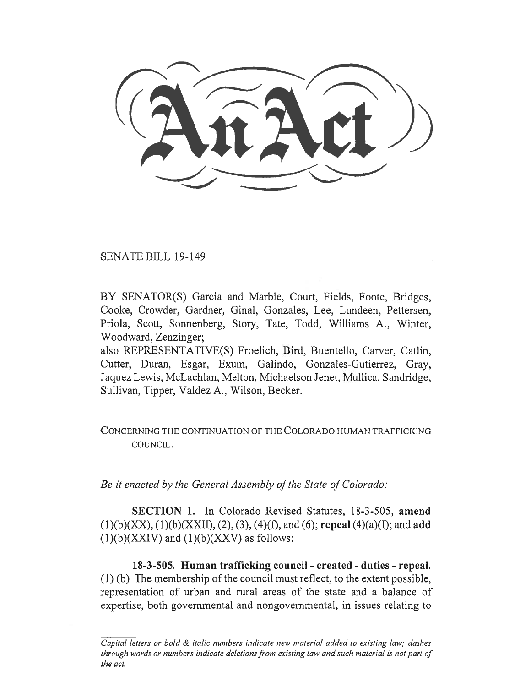(AnAct)  $\overline{\phantom{a}}$ 

SENATE BILL 19-149

BY SENATOR(S) Garcia and Marble, Court, Fields, Foote, Bridges, Cooke, Crowder, Gardner, Ginal, Gonzales, Lee, Lundeen, Pettersen, Priola, Scott, Sonnenberg, Story, Tate, Todd, Williams A., Winter, Woodward, Zenzinger;

also REPRESENTATIVE(S) Froelich, Bird, Buentello, Carver, Catlin, Cutter, Duran, Esgar, Exum, Galindo, Gonzales-Gutierrez, Gray, Jaquez Lewis, McLachlan, Melton, Michaelson Jenet, Mullica, Sandridge, Sullivan, Tipper, Valdez A., Wilson, Becker.

CONCERNING THE CONTINUATION OF THE COLORADO HUMAN TRAFFICKING COUNCIL.

*Be it enacted by the General Assembly of the State of Colorado:* 

**SECTION 1.** In Colorado Revised Statutes, 18-3-505, **amend**  (1)(b)(XX), (1)(b)(XXII), (2), (3), (4)(f), and (6); **repeal** (4)(a)(I); and **add**   $(1)(b)(XXIV)$  and  $(1)(b)(XXXV)$  as follows:

**18-3-505. Human trafficking council - created - duties - repeal.**  (1) (b) The membership of the council must reflect, to the extent possible, representation of urban and rural areas of the state and a balance of expertise, both governmental and nongovernmental, in issues relating to

*Capital letters or bold & italic numbers indicate new material added to existing law; dashes through words or numbers indicate deletions from existing law and such material is not part of the act.*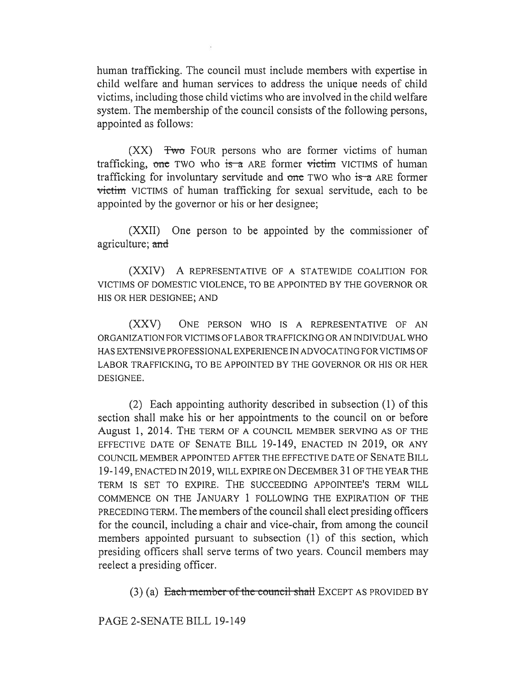human trafficking. The council must include members with expertise in child welfare and human services to address the unique needs of child victims, including those child victims who are involved in the child welfare system. The membership of the council consists of the following persons, appointed as follows:

(XX) Two FOUR persons who are former victims of human trafficking, one TWO who is a ARE former victim VICTIMS of human trafficking for involuntary servitude and one TWO who is a ARE former victim VICTIMS of human trafficking for sexual servitude, each to be appointed by the governor or his or her designee;

(XXII) One person to be appointed by the commissioner of agriculture; and

(XXIV) A REPRESENTATIVE OF A STATEWIDE COALITION FOR VICTIMS OF DOMESTIC VIOLENCE, TO BE APPOINTED BY THE GOVERNOR OR HIS OR HER DESIGNEE; AND

(XXV) ONE PERSON WHO IS A REPRESENTATIVE OF AN ORGANIZATION FOR VICTIMS OF LABOR TRAFFICKING OR AN INDIVIDUAL WHO HAS EXTENSIVE PROFESSIONAL EXPERIENCE IN ADVOCATING FOR VICTIMS OF LABOR TRAFFICKING, TO BE APPOINTED BY THE GOVERNOR OR HIS OR HER DESIGNEE.

(2) Each appointing authority described in subsection (1) of this section shall make his or her appointments to the council on or before August 1, 2014. THE TERM OF A COUNCIL MEMBER SERVING AS OF THE EFFECTIVE DATE OF SENATE BILL 19-149, ENACTED IN 2019, OR ANY COUNCIL MEMBER APPOINTED AFTER THE EFFECTIVE DATE OF SENATE BILL 19-149, ENACTED IN 2019, WILL EXPIRE ON DECEMBER 31 OF THE YEAR THE TERM IS SET TO EXPIRE. THE SUCCEEDING APPOINTEE'S TERM WILL COMMENCE ON THE JANUARY 1 FOLLOWING THE EXPIRATION OF THE PRECEDING TERM. The members of the council shall elect presiding officers for the council, including a chair and vice-chair, from among the council members appointed pursuant to subsection (1) of this section, which presiding officers shall serve terms of two years. Council members may reelect a presiding officer.

 $(3)$  (a) Each member of the council shall EXCEPT AS PROVIDED BY

PAGE 2-SENATE BILL 19-149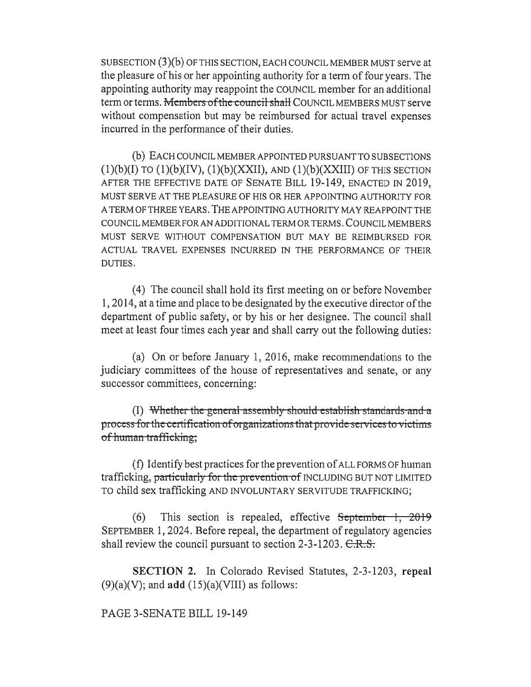SUBSECTION (3)(b) OF THIS SECTION, EACH COUNCIL MEMBER MUST serve at the pleasure of his or her appointing authority for a term of four years. The appointing authority may reappoint the COUNCIL member for an additional term or terms. Members of the council shall COUNCIL MEMBERS MUST serve without compensation but may be reimbursed for actual travel expenses incurred in the performance of their duties.

(b) EACH COUNCIL MEMBER APPOINTED PURSUANT TO SUBSECTIONS  $(1)(b)(I)$  TO  $(1)(b)(IV)$ ,  $(1)(b)(XXII)$ , AND  $(1)(b)(XXIII)$  OF THIS SECTION AFTER THE EFFECTIVE DATE OF SENATE BILL 19-149, ENACTED IN 2019. MUST SERVE AT THE PLEASURE OF HIS OR HER APPOINTING AUTHORITY FOR A TERM OF THREE YEARS. THE APPOINTING AUTHORITY MAY REAPPOINT THE COUNCIL MEMBER FOR AN ADDITIONAL TERM OR TERMS. COUNCIL MEMBERS MUST SERVE WITHOUT COMPENSATION BUT MAY BE REIMBURSED FOR ACTUAL TRAVEL EXPENSES INCURRED IN THE PERFORMANCE OF THEIR DUTIES.

(4) The council shall hold its first meeting on or before November 1, 2014, at a time and place to be designated by the executive director of the department of public safety, or by his or her designee. The council shall meet at least four times each year and shall carry out the following duties:

(a) On or before January 1, 2016, make recommendations to the judiciary committees of the house of representatives and senate, or any successor committees, concerning:

(I) Whether the general assembly should establish standards and a process for the certification of organizations that provide services to victims of human trafficking;

(f) Identify best practices for the prevention of ALL FORMS OF human trafficking, particularly for the prevention of INCLUDING BUT NOT LIMITED TO child sex trafficking AND INVOLUNTARY SERVITUDE TRAFFICKING;

(6) This section is repealed, effective  $S$ eptember 1, 2019 SEPTEMBER 1, 2024. Before repeal, the department of regulatory agencies shall review the council pursuant to section  $2-3-1203$ .  $C.R.S.$ 

**SECTION 2.** In Colorado Revised Statutes, 2-3-1203, **repeal**  (9)(a)(V); and **add** (15)(a)(VIII) as follows:

PAGE 3-SENATE BILL 19-149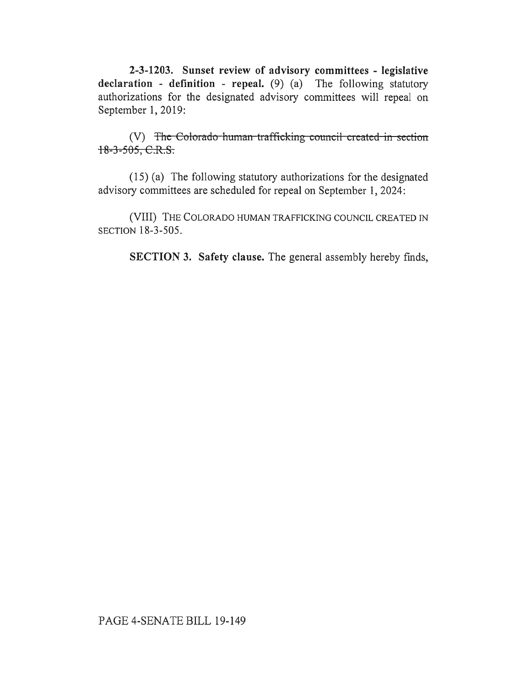**2-3-1203. Sunset review of advisory committees - legislative declaration - definition - repeal.** (9) (a) The following statutory authorizations for the designated advisory committees will repeal on September 1, 2019:

(V) The Colorado human trafficking council created in section  $18-3-505, C.R.S.$ 

(15) (a) The following statutory authorizations for the designated advisory committees are scheduled for repeal on September 1, 2024:

(VIII) THE COLORADO HUMAN TRAFFICKING COUNCIL CREATED IN SECTION 18-3-505.

**SECTION 3. Safety clause.** The general assembly hereby finds,

## PAGE 4-SENATE BILL 19-149